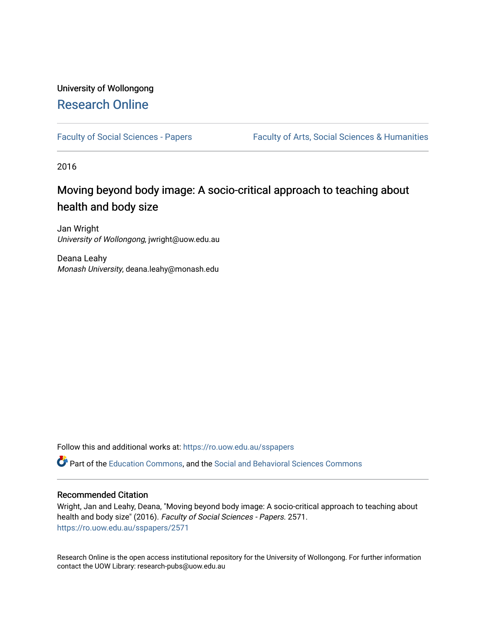# University of Wollongong [Research Online](https://ro.uow.edu.au/)

[Faculty of Social Sciences - Papers](https://ro.uow.edu.au/sspapers) Faculty of Arts, Social Sciences & Humanities

2016

# Moving beyond body image: A socio-critical approach to teaching about health and body size

Jan Wright University of Wollongong, jwright@uow.edu.au

Deana Leahy Monash University, deana.leahy@monash.edu

Follow this and additional works at: [https://ro.uow.edu.au/sspapers](https://ro.uow.edu.au/sspapers?utm_source=ro.uow.edu.au%2Fsspapers%2F2571&utm_medium=PDF&utm_campaign=PDFCoverPages) 

Part of the [Education Commons](http://network.bepress.com/hgg/discipline/784?utm_source=ro.uow.edu.au%2Fsspapers%2F2571&utm_medium=PDF&utm_campaign=PDFCoverPages), and the [Social and Behavioral Sciences Commons](http://network.bepress.com/hgg/discipline/316?utm_source=ro.uow.edu.au%2Fsspapers%2F2571&utm_medium=PDF&utm_campaign=PDFCoverPages) 

# Recommended Citation

Wright, Jan and Leahy, Deana, "Moving beyond body image: A socio-critical approach to teaching about health and body size" (2016). Faculty of Social Sciences - Papers. 2571. [https://ro.uow.edu.au/sspapers/2571](https://ro.uow.edu.au/sspapers/2571?utm_source=ro.uow.edu.au%2Fsspapers%2F2571&utm_medium=PDF&utm_campaign=PDFCoverPages)

Research Online is the open access institutional repository for the University of Wollongong. For further information contact the UOW Library: research-pubs@uow.edu.au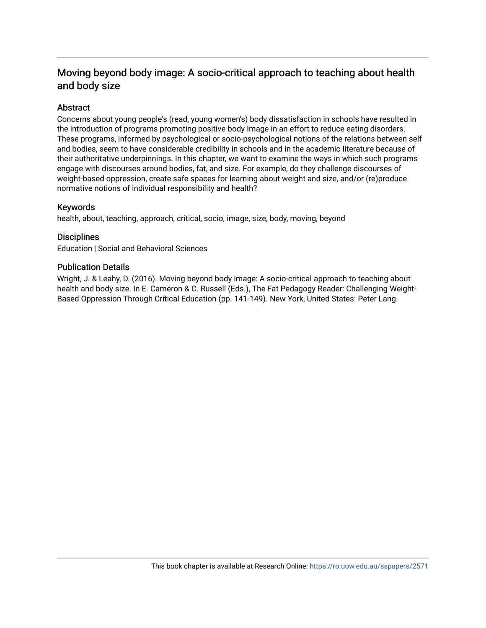# Moving beyond body image: A socio-critical approach to teaching about health and body size

# Abstract

Concerns about young people's (read, young women's) body dissatisfaction in schools have resulted in the introduction of programs promoting positive body Image in an effort to reduce eating disorders. These programs, informed by psychological or socio-psychological notions of the relations between self and bodies, seem to have considerable credibility in schools and in the academic Iiterature because of their authoritative underpinnings. In this chapter, we want to examine the ways in which such programs engage with discourses around bodies, fat, and size. For example, do they challenge discourses of weight-based oppression, create safe spaces for learning about weight and size, and/or (re)produce normative notions of individual responsibility and health?

# Keywords

health, about, teaching, approach, critical, socio, image, size, body, moving, beyond

# **Disciplines**

Education | Social and Behavioral Sciences

# Publication Details

Wright, J. & Leahy, D. (2016). Moving beyond body image: A socio-critical approach to teaching about health and body size. In E. Cameron & C. Russell (Eds.), The Fat Pedagogy Reader: Challenging Weight-Based Oppression Through Critical Education (pp. 141-149). New York, United States: Peter Lang.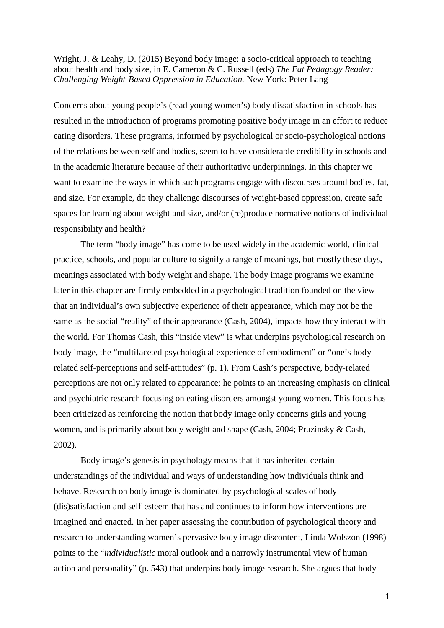Wright, J. & Leahy, D. (2015) Beyond body image: a socio-critical approach to teaching about health and body size, in E. Cameron & C. Russell (eds) *The Fat Pedagogy Reader: Challenging Weight-Based Oppression in Education.* New York: Peter Lang

Concerns about young people's (read young women's) body dissatisfaction in schools has resulted in the introduction of programs promoting positive body image in an effort to reduce eating disorders. These programs, informed by psychological or socio-psychological notions of the relations between self and bodies, seem to have considerable credibility in schools and in the academic literature because of their authoritative underpinnings. In this chapter we want to examine the ways in which such programs engage with discourses around bodies, fat, and size. For example, do they challenge discourses of weight-based oppression, create safe spaces for learning about weight and size, and/or (re)produce normative notions of individual responsibility and health?

The term "body image" has come to be used widely in the academic world, clinical practice, schools, and popular culture to signify a range of meanings, but mostly these days, meanings associated with body weight and shape. The body image programs we examine later in this chapter are firmly embedded in a psychological tradition founded on the view that an individual's own subjective experience of their appearance, which may not be the same as the social "reality" of their appearance (Cash, 2004), impacts how they interact with the world. For Thomas Cash, this "inside view" is what underpins psychological research on body image, the "multifaceted psychological experience of embodiment" or "one's bodyrelated self-perceptions and self-attitudes" (p. 1). From Cash's perspective, body-related perceptions are not only related to appearance; he points to an increasing emphasis on clinical and psychiatric research focusing on eating disorders amongst young women. This focus has been criticized as reinforcing the notion that body image only concerns girls and young women, and is primarily about body weight and shape (Cash, 2004; Pruzinsky & Cash, 2002).

Body image's genesis in psychology means that it has inherited certain understandings of the individual and ways of understanding how individuals think and behave. Research on body image is dominated by psychological scales of body (dis)satisfaction and self-esteem that has and continues to inform how interventions are imagined and enacted. In her paper assessing the contribution of psychological theory and research to understanding women's pervasive body image discontent, Linda Wolszon (1998) points to the "*individualistic* moral outlook and a narrowly instrumental view of human action and personality" (p. 543) that underpins body image research. She argues that body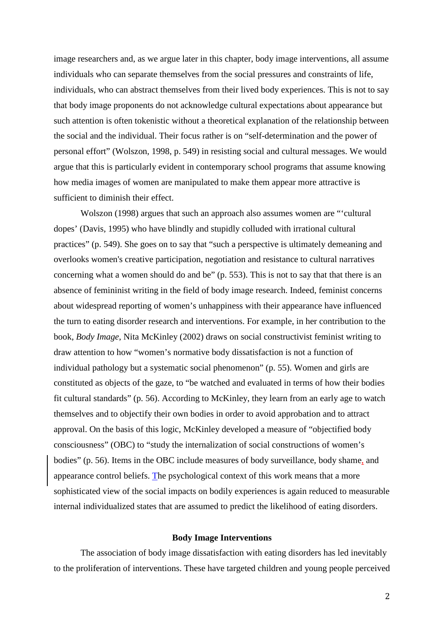image researchers and, as we argue later in this chapter, body image interventions, all assume individuals who can separate themselves from the social pressures and constraints of life, individuals, who can abstract themselves from their lived body experiences. This is not to say that body image proponents do not acknowledge cultural expectations about appearance but such attention is often tokenistic without a theoretical explanation of the relationship between the social and the individual. Their focus rather is on "self-determination and the power of personal effort" (Wolszon, 1998, p. 549) in resisting social and cultural messages. We would argue that this is particularly evident in contemporary school programs that assume knowing how media images of women are manipulated to make them appear more attractive is sufficient to diminish their effect.

Wolszon (1998) argues that such an approach also assumes women are "'cultural dopes' (Davis, 1995) who have blindly and stupidly colluded with irrational cultural practices" (p. 549). She goes on to say that "such a perspective is ultimately demeaning and overlooks women's creative participation, negotiation and resistance to cultural narratives concerning what a women should do and be" (p. 553). This is not to say that that there is an absence of femininist writing in the field of body image research. Indeed, feminist concerns about widespread reporting of women's unhappiness with their appearance have influenced the turn to eating disorder research and interventions. For example, in her contribution to the book, *Body Image*, Nita McKinley (2002) draws on social constructivist feminist writing to draw attention to how "women's normative body dissatisfaction is not a function of individual pathology but a systematic social phenomenon" (p. 55). Women and girls are constituted as objects of the gaze, to "be watched and evaluated in terms of how their bodies fit cultural standards" (p. 56). According to McKinley, they learn from an early age to watch themselves and to objectify their own bodies in order to avoid approbation and to attract approval. On the basis of this logic, McKinley developed a measure of "objectified body consciousness" (OBC) to "study the internalization of social constructions of women's bodies" (p. 56). Items in the OBC include measures of body surveillance, body shame, and appearance control beliefs. The psychological context of this work means that a more sophisticated view of the social impacts on bodily experiences is again reduced to measurable internal individualized states that are assumed to predict the likelihood of eating disorders.

#### **Body Image Interventions**

The association of body image dissatisfaction with eating disorders has led inevitably to the proliferation of interventions. These have targeted children and young people perceived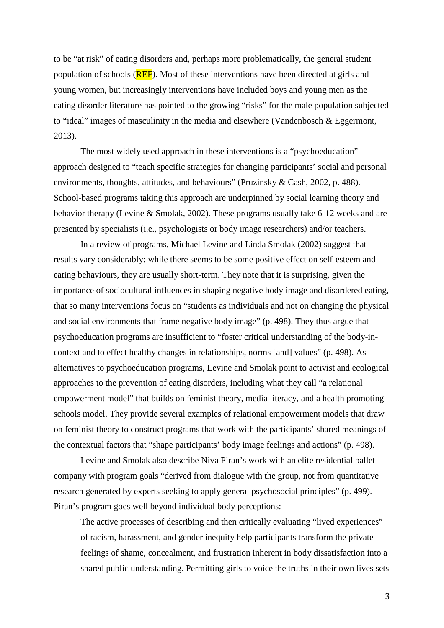to be "at risk" of eating disorders and, perhaps more problematically, the general student population of schools (**REF**). Most of these interventions have been directed at girls and young women, but increasingly interventions have included boys and young men as the eating disorder literature has pointed to the growing "risks" for the male population subjected to "ideal" images of masculinity in the media and elsewhere (Vandenbosch & Eggermont, 2013).

The most widely used approach in these interventions is a "psychoeducation" approach designed to "teach specific strategies for changing participants' social and personal environments, thoughts, attitudes, and behaviours" (Pruzinsky & Cash, 2002, p. 488). School-based programs taking this approach are underpinned by social learning theory and behavior therapy (Levine & Smolak, 2002). These programs usually take 6-12 weeks and are presented by specialists (i.e., psychologists or body image researchers) and/or teachers.

In a review of programs, Michael Levine and Linda Smolak (2002) suggest that results vary considerably; while there seems to be some positive effect on self-esteem and eating behaviours, they are usually short-term. They note that it is surprising, given the importance of sociocultural influences in shaping negative body image and disordered eating, that so many interventions focus on "students as individuals and not on changing the physical and social environments that frame negative body image" (p. 498). They thus argue that psychoeducation programs are insufficient to "foster critical understanding of the body-incontext and to effect healthy changes in relationships, norms [and] values" (p. 498). As alternatives to psychoeducation programs, Levine and Smolak point to activist and ecological approaches to the prevention of eating disorders, including what they call "a relational empowerment model" that builds on feminist theory, media literacy, and a health promoting schools model. They provide several examples of relational empowerment models that draw on feminist theory to construct programs that work with the participants' shared meanings of the contextual factors that "shape participants' body image feelings and actions" (p. 498).

Levine and Smolak also describe Niva Piran's work with an elite residential ballet company with program goals "derived from dialogue with the group, not from quantitative research generated by experts seeking to apply general psychosocial principles" (p. 499). Piran's program goes well beyond individual body perceptions:

The active processes of describing and then critically evaluating "lived experiences" of racism, harassment, and gender inequity help participants transform the private feelings of shame, concealment, and frustration inherent in body dissatisfaction into a shared public understanding. Permitting girls to voice the truths in their own lives sets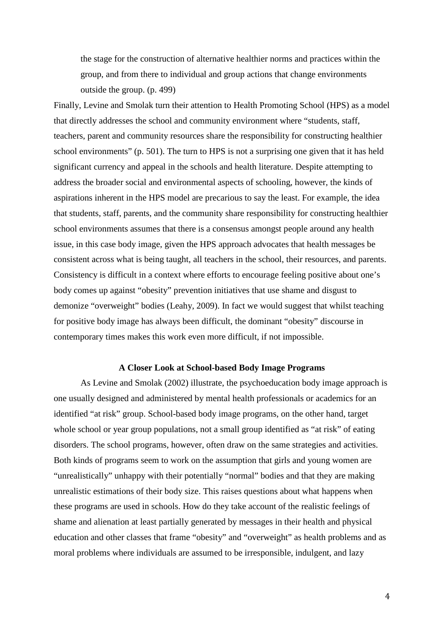the stage for the construction of alternative healthier norms and practices within the group, and from there to individual and group actions that change environments outside the group. (p. 499)

Finally, Levine and Smolak turn their attention to Health Promoting School (HPS) as a model that directly addresses the school and community environment where "students, staff, teachers, parent and community resources share the responsibility for constructing healthier school environments" (p. 501). The turn to HPS is not a surprising one given that it has held significant currency and appeal in the schools and health literature. Despite attempting to address the broader social and environmental aspects of schooling, however, the kinds of aspirations inherent in the HPS model are precarious to say the least. For example, the idea that students, staff, parents, and the community share responsibility for constructing healthier school environments assumes that there is a consensus amongst people around any health issue, in this case body image, given the HPS approach advocates that health messages be consistent across what is being taught, all teachers in the school, their resources, and parents. Consistency is difficult in a context where efforts to encourage feeling positive about one's body comes up against "obesity" prevention initiatives that use shame and disgust to demonize "overweight" bodies (Leahy, 2009). In fact we would suggest that whilst teaching for positive body image has always been difficult, the dominant "obesity" discourse in contemporary times makes this work even more difficult, if not impossible.

#### **A Closer Look at School-based Body Image Programs**

As Levine and Smolak (2002) illustrate, the psychoeducation body image approach is one usually designed and administered by mental health professionals or academics for an identified "at risk" group. School-based body image programs, on the other hand, target whole school or year group populations, not a small group identified as "at risk" of eating disorders. The school programs, however, often draw on the same strategies and activities. Both kinds of programs seem to work on the assumption that girls and young women are "unrealistically" unhappy with their potentially "normal" bodies and that they are making unrealistic estimations of their body size. This raises questions about what happens when these programs are used in schools. How do they take account of the realistic feelings of shame and alienation at least partially generated by messages in their health and physical education and other classes that frame "obesity" and "overweight" as health problems and as moral problems where individuals are assumed to be irresponsible, indulgent, and lazy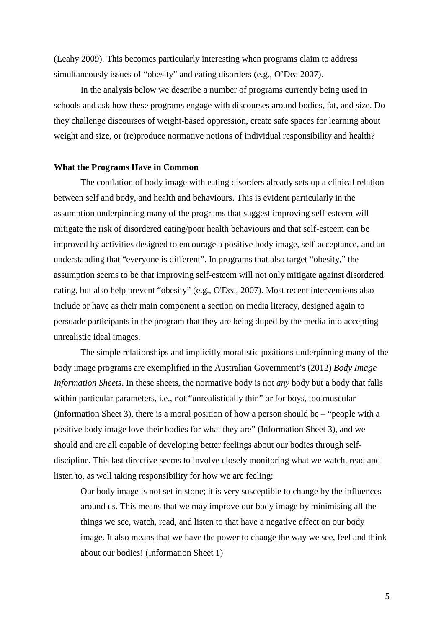(Leahy 2009). This becomes particularly interesting when programs claim to address simultaneously issues of "obesity" and eating disorders (e.g., O'Dea 2007).

In the analysis below we describe a number of programs currently being used in schools and ask how these programs engage with discourses around bodies, fat, and size. Do they challenge discourses of weight-based oppression, create safe spaces for learning about weight and size, or (re)produce normative notions of individual responsibility and health?

#### **What the Programs Have in Common**

The conflation of body image with eating disorders already sets up a clinical relation between self and body, and health and behaviours. This is evident particularly in the assumption underpinning many of the programs that suggest improving self-esteem will mitigate the risk of disordered eating/poor health behaviours and that self-esteem can be improved by activities designed to encourage a positive body image, self-acceptance, and an understanding that "everyone is different". In programs that also target "obesity," the assumption seems to be that improving self-esteem will not only mitigate against disordered eating, but also help prevent "obesity" (e.g., O'Dea, 2007). Most recent interventions also include or have as their main component a section on media literacy, designed again to persuade participants in the program that they are being duped by the media into accepting unrealistic ideal images.

The simple relationships and implicitly moralistic positions underpinning many of the body image programs are exemplified in the Australian Government's (2012) *Body Image Information Sheets*. In these sheets, the normative body is not *any* body but a body that falls within particular parameters, i.e., not "unrealistically thin" or for boys, too muscular (Information Sheet 3), there is a moral position of how a person should be – "people with a positive body image love their bodies for what they are" (Information Sheet 3), and we should and are all capable of developing better feelings about our bodies through selfdiscipline. This last directive seems to involve closely monitoring what we watch, read and listen to, as well taking responsibility for how we are feeling:

Our body image is not set in stone; it is very susceptible to change by the influences around us. This means that we may improve our body image by minimising all the things we see, watch, read, and listen to that have a negative effect on our body image. It also means that we have the power to change the way we see, feel and think about our bodies! (Information Sheet 1)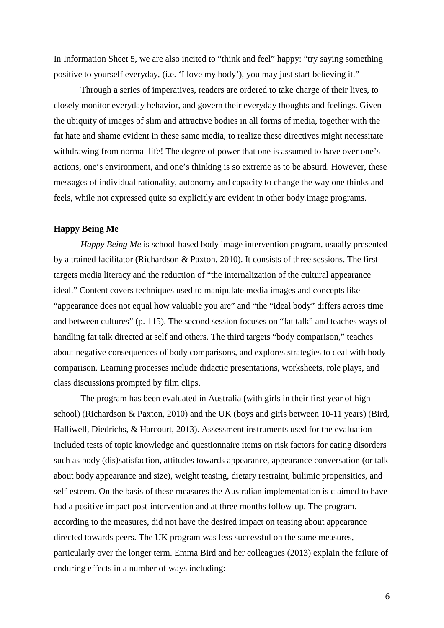In Information Sheet 5, we are also incited to "think and feel" happy: "try saying something positive to yourself everyday, (i.e. 'I love my body'), you may just start believing it."

Through a series of imperatives, readers are ordered to take charge of their lives, to closely monitor everyday behavior, and govern their everyday thoughts and feelings. Given the ubiquity of images of slim and attractive bodies in all forms of media, together with the fat hate and shame evident in these same media, to realize these directives might necessitate withdrawing from normal life! The degree of power that one is assumed to have over one's actions, one's environment, and one's thinking is so extreme as to be absurd. However, these messages of individual rationality, autonomy and capacity to change the way one thinks and feels, while not expressed quite so explicitly are evident in other body image programs.

#### **Happy Being Me**

*Happy Being Me* is school-based body image intervention program, usually presented by a trained facilitator (Richardson & Paxton, 2010). It consists of three sessions. The first targets media literacy and the reduction of "the internalization of the cultural appearance ideal." Content covers techniques used to manipulate media images and concepts like "appearance does not equal how valuable you are" and "the "ideal body" differs across time and between cultures" (p. 115). The second session focuses on "fat talk" and teaches ways of handling fat talk directed at self and others. The third targets "body comparison," teaches about negative consequences of body comparisons, and explores strategies to deal with body comparison. Learning processes include didactic presentations, worksheets, role plays, and class discussions prompted by film clips.

The program has been evaluated in Australia (with girls in their first year of high school) (Richardson & Paxton, 2010) and the UK (boys and girls between 10-11 years) (Bird, Halliwell, Diedrichs, & Harcourt, 2013). Assessment instruments used for the evaluation included tests of topic knowledge and questionnaire items on risk factors for eating disorders such as body (dis)satisfaction, attitudes towards appearance, appearance conversation (or talk about body appearance and size), weight teasing, dietary restraint, bulimic propensities, and self-esteem. On the basis of these measures the Australian implementation is claimed to have had a positive impact post-intervention and at three months follow-up. The program, according to the measures, did not have the desired impact on teasing about appearance directed towards peers. The UK program was less successful on the same measures, particularly over the longer term. Emma Bird and her colleagues (2013) explain the failure of enduring effects in a number of ways including: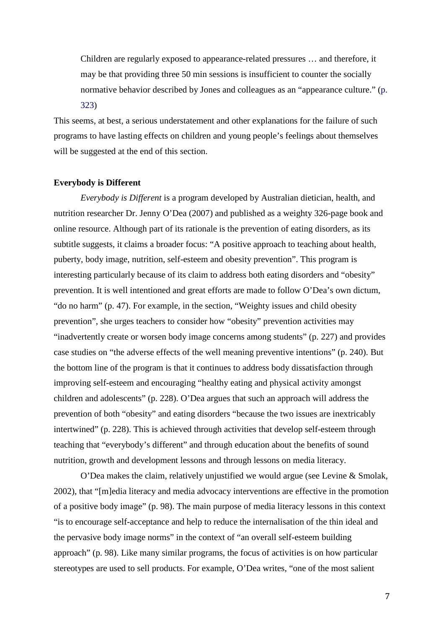Children are regularly exposed to appearance-related pressures … and therefore, it may be that providing three 50 min sessions is insufficient to counter the socially normative behavior described by Jones and colleagues as an "appearance culture." (p. 323)

This seems, at best, a serious understatement and other explanations for the failure of such programs to have lasting effects on children and young people's feelings about themselves will be suggested at the end of this section.

#### **Everybody is Different**

*Everybody is Different* is a program developed by Australian dietician, health, and nutrition researcher Dr. Jenny O'Dea (2007) and published as a weighty 326-page book and online resource. Although part of its rationale is the prevention of eating disorders, as its subtitle suggests, it claims a broader focus: "A positive approach to teaching about health, puberty, body image, nutrition, self-esteem and obesity prevention". This program is interesting particularly because of its claim to address both eating disorders and "obesity" prevention. It is well intentioned and great efforts are made to follow O'Dea's own dictum, "do no harm" (p. 47). For example, in the section, "Weighty issues and child obesity prevention", she urges teachers to consider how "obesity" prevention activities may "inadvertently create or worsen body image concerns among students" (p. 227) and provides case studies on "the adverse effects of the well meaning preventive intentions" (p. 240). But the bottom line of the program is that it continues to address body dissatisfaction through improving self-esteem and encouraging "healthy eating and physical activity amongst children and adolescents" (p. 228). O'Dea argues that such an approach will address the prevention of both "obesity" and eating disorders "because the two issues are inextricably intertwined" (p. 228). This is achieved through activities that develop self-esteem through teaching that "everybody's different" and through education about the benefits of sound nutrition, growth and development lessons and through lessons on media literacy.

O'Dea makes the claim, relatively unjustified we would argue (see Levine & Smolak, 2002), that "[m]edia literacy and media advocacy interventions are effective in the promotion of a positive body image" (p. 98). The main purpose of media literacy lessons in this context "is to encourage self-acceptance and help to reduce the internalisation of the thin ideal and the pervasive body image norms" in the context of "an overall self-esteem building approach" (p. 98). Like many similar programs, the focus of activities is on how particular stereotypes are used to sell products. For example, O'Dea writes, "one of the most salient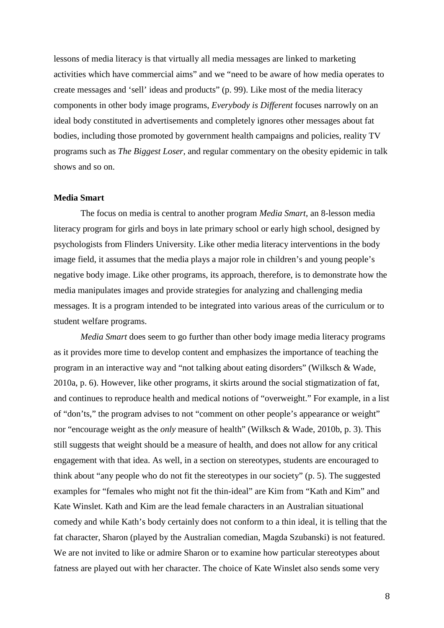lessons of media literacy is that virtually all media messages are linked to marketing activities which have commercial aims" and we "need to be aware of how media operates to create messages and 'sell' ideas and products" (p. 99). Like most of the media literacy components in other body image programs, *Everybody is Different* focuses narrowly on an ideal body constituted in advertisements and completely ignores other messages about fat bodies, including those promoted by government health campaigns and policies, reality TV programs such as *The Biggest Loser*, and regular commentary on the obesity epidemic in talk shows and so on.

#### **Media Smart**

The focus on media is central to another program *Media Smart*, an 8-lesson media literacy program for girls and boys in late primary school or early high school, designed by psychologists from Flinders University. Like other media literacy interventions in the body image field, it assumes that the media plays a major role in children's and young people's negative body image. Like other programs, its approach, therefore, is to demonstrate how the media manipulates images and provide strategies for analyzing and challenging media messages. It is a program intended to be integrated into various areas of the curriculum or to student welfare programs.

*Media Smart* does seem to go further than other body image media literacy programs as it provides more time to develop content and emphasizes the importance of teaching the program in an interactive way and "not talking about eating disorders" (Wilksch & Wade, 2010a, p. 6). However, like other programs, it skirts around the social stigmatization of fat, and continues to reproduce health and medical notions of "overweight." For example, in a list of "don'ts," the program advises to not "comment on other people's appearance or weight" nor "encourage weight as the *only* measure of health" (Wilksch & Wade, 2010b, p. 3). This still suggests that weight should be a measure of health, and does not allow for any critical engagement with that idea. As well, in a section on stereotypes, students are encouraged to think about "any people who do not fit the stereotypes in our society" (p. 5). The suggested examples for "females who might not fit the thin-ideal" are Kim from "Kath and Kim" and Kate Winslet. Kath and Kim are the lead female characters in an Australian situational comedy and while Kath's body certainly does not conform to a thin ideal, it is telling that the fat character, Sharon (played by the Australian comedian, Magda Szubanski) is not featured. We are not invited to like or admire Sharon or to examine how particular stereotypes about fatness are played out with her character. The choice of Kate Winslet also sends some very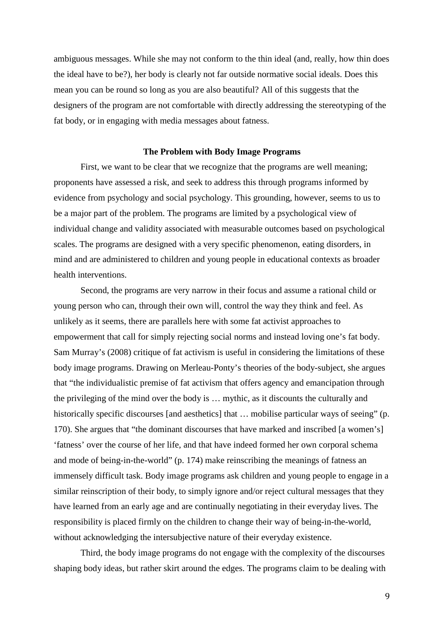ambiguous messages. While she may not conform to the thin ideal (and, really, how thin does the ideal have to be?), her body is clearly not far outside normative social ideals. Does this mean you can be round so long as you are also beautiful? All of this suggests that the designers of the program are not comfortable with directly addressing the stereotyping of the fat body, or in engaging with media messages about fatness.

# **The Problem with Body Image Programs**

First, we want to be clear that we recognize that the programs are well meaning; proponents have assessed a risk, and seek to address this through programs informed by evidence from psychology and social psychology. This grounding, however, seems to us to be a major part of the problem. The programs are limited by a psychological view of individual change and validity associated with measurable outcomes based on psychological scales. The programs are designed with a very specific phenomenon, eating disorders, in mind and are administered to children and young people in educational contexts as broader health interventions.

Second, the programs are very narrow in their focus and assume a rational child or young person who can, through their own will, control the way they think and feel. As unlikely as it seems, there are parallels here with some fat activist approaches to empowerment that call for simply rejecting social norms and instead loving one's fat body. Sam Murray's (2008) critique of fat activism is useful in considering the limitations of these body image programs. Drawing on Merleau-Ponty's theories of the body-subject, she argues that "the individualistic premise of fat activism that offers agency and emancipation through the privileging of the mind over the body is … mythic, as it discounts the culturally and historically specific discourses [and aesthetics] that ... mobilise particular ways of seeing" (p. 170). She argues that "the dominant discourses that have marked and inscribed [a women's] 'fatness' over the course of her life, and that have indeed formed her own corporal schema and mode of being-in-the-world" (p. 174) make reinscribing the meanings of fatness an immensely difficult task. Body image programs ask children and young people to engage in a similar reinscription of their body, to simply ignore and/or reject cultural messages that they have learned from an early age and are continually negotiating in their everyday lives. The responsibility is placed firmly on the children to change their way of being-in-the-world, without acknowledging the intersubjective nature of their everyday existence.

Third, the body image programs do not engage with the complexity of the discourses shaping body ideas, but rather skirt around the edges. The programs claim to be dealing with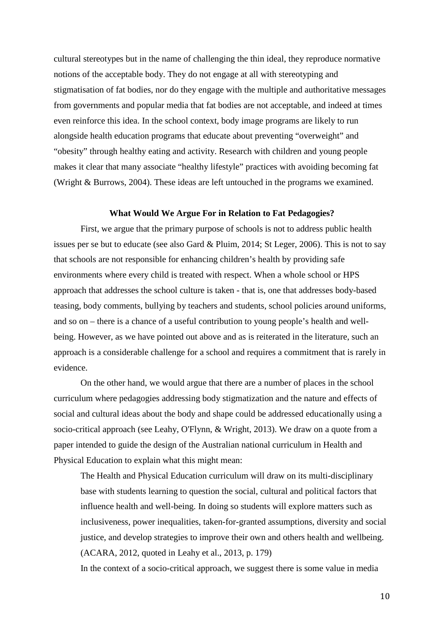cultural stereotypes but in the name of challenging the thin ideal, they reproduce normative notions of the acceptable body. They do not engage at all with stereotyping and stigmatisation of fat bodies, nor do they engage with the multiple and authoritative messages from governments and popular media that fat bodies are not acceptable, and indeed at times even reinforce this idea. In the school context, body image programs are likely to run alongside health education programs that educate about preventing "overweight" and "obesity" through healthy eating and activity. Research with children and young people makes it clear that many associate "healthy lifestyle" practices with avoiding becoming fat (Wright & Burrows, 2004). These ideas are left untouched in the programs we examined.

#### **What Would We Argue For in Relation to Fat Pedagogies?**

First, we argue that the primary purpose of schools is not to address public health issues per se but to educate (see also Gard & Pluim, 2014; St Leger, 2006). This is not to say that schools are not responsible for enhancing children's health by providing safe environments where every child is treated with respect. When a whole school or HPS approach that addresses the school culture is taken - that is, one that addresses body-based teasing, body comments, bullying by teachers and students, school policies around uniforms, and so on – there is a chance of a useful contribution to young people's health and wellbeing. However, as we have pointed out above and as is reiterated in the literature, such an approach is a considerable challenge for a school and requires a commitment that is rarely in evidence.

On the other hand, we would argue that there are a number of places in the school curriculum where pedagogies addressing body stigmatization and the nature and effects of social and cultural ideas about the body and shape could be addressed educationally using a socio-critical approach (see Leahy, O'Flynn, & Wright, 2013). We draw on a quote from a paper intended to guide the design of the Australian national curriculum in Health and Physical Education to explain what this might mean:

The Health and Physical Education curriculum will draw on its multi-disciplinary base with students learning to question the social, cultural and political factors that influence health and well-being. In doing so students will explore matters such as inclusiveness, power inequalities, taken-for-granted assumptions, diversity and social justice, and develop strategies to improve their own and others health and wellbeing. (ACARA, 2012, quoted in Leahy et al., 2013, p. 179)

In the context of a socio-critical approach, we suggest there is some value in media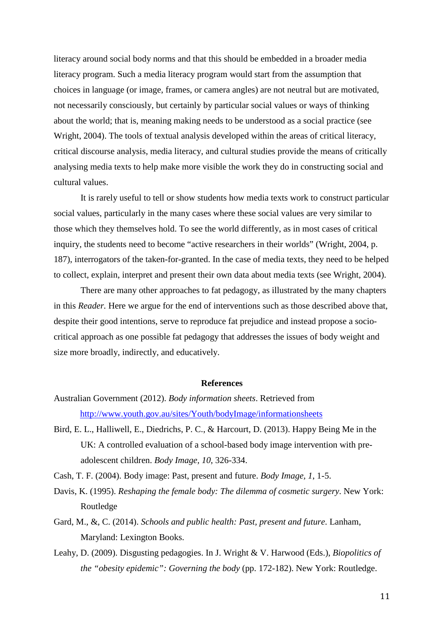literacy around social body norms and that this should be embedded in a broader media literacy program. Such a media literacy program would start from the assumption that choices in language (or image, frames, or camera angles) are not neutral but are motivated, not necessarily consciously, but certainly by particular social values or ways of thinking about the world; that is, meaning making needs to be understood as a social practice (see Wright, 2004). The tools of textual analysis developed within the areas of critical literacy, critical discourse analysis, media literacy, and cultural studies provide the means of critically analysing media texts to help make more visible the work they do in constructing social and cultural values.

It is rarely useful to tell or show students how media texts work to construct particular social values, particularly in the many cases where these social values are very similar to those which they themselves hold. To see the world differently, as in most cases of critical inquiry, the students need to become "active researchers in their worlds" (Wright, 2004, p. 187), interrogators of the taken-for-granted. In the case of media texts, they need to be helped to collect, explain, interpret and present their own data about media texts (see Wright, 2004).

There are many other approaches to fat pedagogy, as illustrated by the many chapters in this *Reader.* Here we argue for the end of interventions such as those described above that, despite their good intentions, serve to reproduce fat prejudice and instead propose a sociocritical approach as one possible fat pedagogy that addresses the issues of body weight and size more broadly, indirectly, and educatively.

#### **References**

- Australian Government (2012). *Body information sheets*. Retrieved from <http://www.youth.gov.au/sites/Youth/bodyImage/informationsheets>
- Bird, E. L., Halliwell, E., Diedrichs, P. C., & Harcourt, D. (2013). Happy Being Me in the UK: A controlled evaluation of a school-based body image intervention with preadolescent children. *Body Image, 10*, 326-334.
- Cash, T. F. (2004). Body image: Past, present and future. *Body Image, 1*, 1-5.
- Davis, K. (1995). *Reshaping the female body: The dilemma of cosmetic surgery*. New York: Routledge
- Gard, M., &, C. (2014). *Schools and public health: Past, present and future*. Lanham, Maryland: Lexington Books.
- Leahy, D. (2009). Disgusting pedagogies. In J. Wright & V. Harwood (Eds.), *Biopolitics of the "obesity epidemic": Governing the body* (pp. 172-182). New York: Routledge.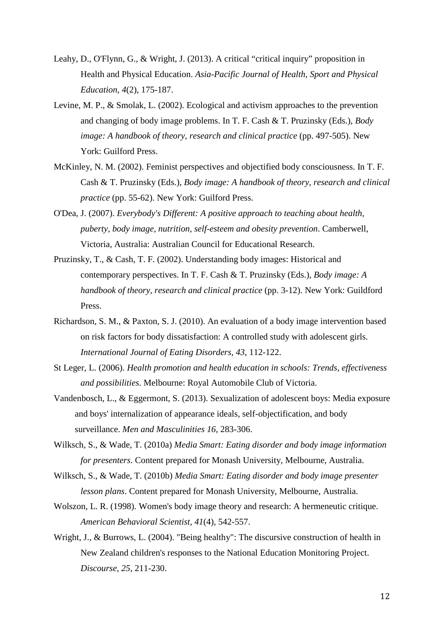- Leahy, D., O'Flynn, G., & Wright, J. (2013). A critical "critical inquiry" proposition in Health and Physical Education. *Asia-Pacific Journal of Health, Sport and Physical Education, 4*(2), 175-187.
- Levine, M. P., & Smolak, L. (2002). Ecological and activism approaches to the prevention and changing of body image problems. In T. F. Cash & T. Pruzinsky (Eds.), *Body image: A handbook of theory, research and clinical practice* (pp. 497-505). New York: Guilford Press.
- McKinley, N. M. (2002). Feminist perspectives and objectified body consciousness. In T. F. Cash & T. Pruzinsky (Eds.), *Body image: A handbook of theory, research and clinical practice* (pp. 55-62). New York: Guilford Press.
- O'Dea, J. (2007). *Everybody's Different: A positive approach to teaching about health, puberty, body image, nutrition, self-esteem and obesity prevention*. Camberwell, Victoria, Australia: Australian Council for Educational Research.
- Pruzinsky, T., & Cash, T. F. (2002). Understanding body images: Historical and contemporary perspectives. In T. F. Cash & T. Pruzinsky (Eds.), *Body image: A handbook of theory, research and clinical practice* (pp. 3-12). New York: Guildford Press.
- Richardson, S. M., & Paxton, S. J. (2010). An evaluation of a body image intervention based on risk factors for body dissatisfaction: A controlled study with adolescent girls. *International Journal of Eating Disorders, 43*, 112-122.
- St Leger, L. (2006). *Health promotion and health education in schools: Trends, effectiveness and possibilities*. Melbourne: Royal Automobile Club of Victoria.
- Vandenbosch, L., & Eggermont, S. (2013). Sexualization of adolescent boys: Media exposure and boys' internalization of appearance ideals, self-objectification, and body surveillance. *Men and Masculinities 16*, 283-306.
- Wilksch, S., & Wade, T. (2010a) *Media Smart: Eating disorder and body image information for presenters*. Content prepared for Monash University, Melbourne, Australia.
- Wilksch, S., & Wade, T. (2010b) *Media Smart: Eating disorder and body image presenter lesson plans*. Content prepared for Monash University, Melbourne, Australia.
- Wolszon, L. R. (1998). Women's body image theory and research: A hermeneutic critique. *American Behavioral Scientist, 41*(4), 542-557.
- Wright, J., & Burrows, L. (2004). "Being healthy": The discursive construction of health in New Zealand children's responses to the National Education Monitoring Project. *Discourse, 25,* 211-230.